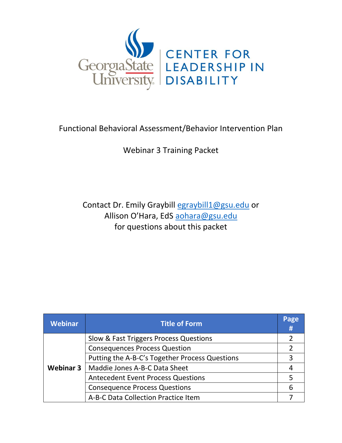

### Functional Behavioral Assessment/Behavior Intervention Plan

Webinar 3 Training Packet

Contact Dr. Emily Graybill [egraybill1@gsu.edu](mailto:egraybill1@gsu.edu) or Allison O'Hara, EdS [aohara@gsu.edu](mailto:aohara@gsu.edu) for questions about this packet

| <b>Webinar</b>   | <b>Title of Form</b>                           | Page<br># |
|------------------|------------------------------------------------|-----------|
| <b>Webinar 3</b> | Slow & Fast Triggers Process Questions         |           |
|                  | <b>Consequences Process Question</b>           |           |
|                  | Putting the A-B-C's Together Process Questions | 3         |
|                  | Maddie Jones A-B-C Data Sheet                  |           |
|                  | <b>Antecedent Event Process Questions</b>      |           |
|                  | <b>Consequence Process Questions</b>           | 6         |
|                  | A-B-C Data Collection Practice Item            |           |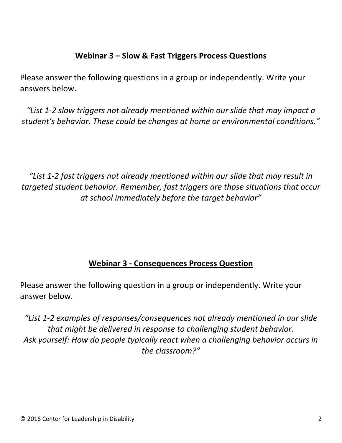### **Webinar 3 – Slow & Fast Triggers Process Questions**

Please answer the following questions in a group or independently. Write your answers below.

*"List 1-2 slow triggers not already mentioned within our slide that may impact a student's behavior. These could be changes at home or environmental conditions."*

*"List 1-2 fast triggers not already mentioned within our slide that may result in targeted student behavior. Remember, fast triggers are those situations that occur at school immediately before the target behavior"*

### **Webinar 3 - Consequences Process Question**

Please answer the following question in a group or independently. Write your answer below.

*"List 1-2 examples of responses/consequences not already mentioned in our slide that might be delivered in response to challenging student behavior. Ask yourself: How do people typically react when a challenging behavior occurs in the classroom?"*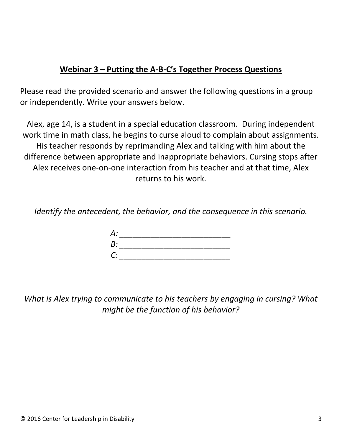### **Webinar 3 – Putting the A-B-C's Together Process Questions**

Please read the provided scenario and answer the following questions in a group or independently. Write your answers below.

Alex, age 14, is a student in a special education classroom. During independent work time in math class, he begins to curse aloud to complain about assignments. His teacher responds by reprimanding Alex and talking with him about the difference between appropriate and inappropriate behaviors. Cursing stops after Alex receives one-on-one interaction from his teacher and at that time, Alex returns to his work.

*Identify the antecedent, the behavior, and the consequence in this scenario.*

| A:          |  |  |
|-------------|--|--|
| B:          |  |  |
| $C^{\cdot}$ |  |  |

*What is Alex trying to communicate to his teachers by engaging in cursing? What might be the function of his behavior?*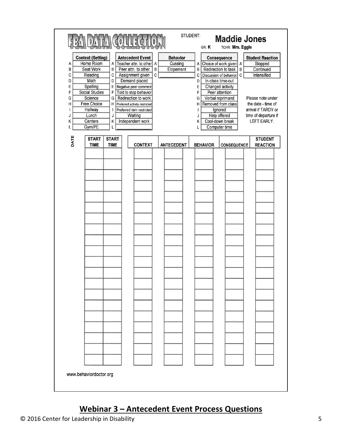| <b>Context (Setting)</b><br>Home Room<br>Α<br>B<br>Seat Work<br>C<br>Reading<br>Math<br>D<br>Spelling<br>E<br><b>Social Studies</b><br>F<br>Science<br>G<br><b>Free Choice</b><br>н<br>Hallway<br>Lunch<br>J<br>Centers<br>κ<br>Gym/PE<br>L<br>DATE<br><b>START</b> | B<br>С<br>D<br>E<br>F<br>G<br>Η<br>ł<br>J<br>Κ<br><b>START</b> | <b>Antecedent Event</b><br>A Teacher attn. to other A<br>B<br>Peer attn. to other<br>$\mathbb{C}$<br>Assignment given<br>Demand placed<br>Negative peer comment<br>Told to stop behavior<br>Redirection to work<br>Preferred activity restricted<br>Preferred item restricted<br>Waiting<br>Independent work | <b>Behavior</b><br>Cussing<br>Elopement | GR: K<br>А<br>B<br>$\mathbf C$<br>D<br>E<br>F<br>G<br>н<br>J<br>Κ<br>L | TCHR: Mrs. Eggle<br>Consequence<br>Choice of work given A<br>Redirection to task<br>B<br>C<br>Discussion of behavior<br>In-class time-out<br>Changed activity<br>Peer attention<br>Verbal reprimand<br>Removed from class<br>Ignored<br>Help offered<br>Cool-down break<br>Computer time | <b>Student Reaction</b><br>Stopped<br>Continued<br>Intensified<br>Please note under<br>the date - time of<br>arrival if TARDY or<br>time of departure if<br>LEFT EARLY.<br><b>STUDENT</b> |
|---------------------------------------------------------------------------------------------------------------------------------------------------------------------------------------------------------------------------------------------------------------------|----------------------------------------------------------------|--------------------------------------------------------------------------------------------------------------------------------------------------------------------------------------------------------------------------------------------------------------------------------------------------------------|-----------------------------------------|------------------------------------------------------------------------|------------------------------------------------------------------------------------------------------------------------------------------------------------------------------------------------------------------------------------------------------------------------------------------|-------------------------------------------------------------------------------------------------------------------------------------------------------------------------------------------|
| <b>TIME</b>                                                                                                                                                                                                                                                         | <b>TIME</b>                                                    | <b>CONTEXT</b>                                                                                                                                                                                                                                                                                               | <b>ANTECEDENT</b>                       | <b>BEHAVIOR</b>                                                        | CONSEQUENCE                                                                                                                                                                                                                                                                              | <b>REACTION</b>                                                                                                                                                                           |
| www.behaviordoctor.org                                                                                                                                                                                                                                              |                                                                |                                                                                                                                                                                                                                                                                                              |                                         |                                                                        |                                                                                                                                                                                                                                                                                          |                                                                                                                                                                                           |

# **Webinar 3 – Antecedent Event Process Questions**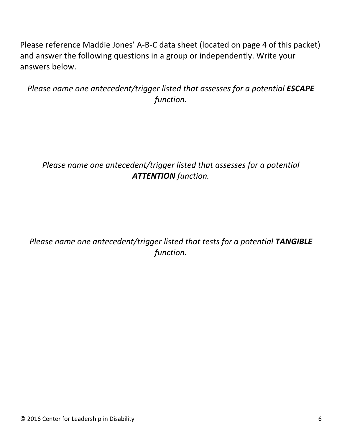Please reference Maddie Jones' A-B-C data sheet (located on page 4 of this packet) and answer the following questions in a group or independently. Write your answers below.

*Please name one antecedent/trigger listed that assesses for a potential ESCAPE function.*

*Please name one antecedent/trigger listed that assesses for a potential ATTENTION function.*

*Please name one antecedent/trigger listed that tests for a potential TANGIBLE function.*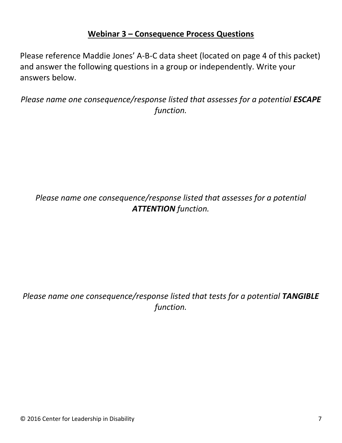#### **Webinar 3 – Consequence Process Questions**

Please reference Maddie Jones' A-B-C data sheet (located on page 4 of this packet) and answer the following questions in a group or independently. Write your answers below.

*Please name one consequence/response listed that assesses for a potential ESCAPE function.*

## *Please name one consequence/response listed that assesses for a potential ATTENTION function.*

# *Please name one consequence/response listed that tests for a potential TANGIBLE function.*